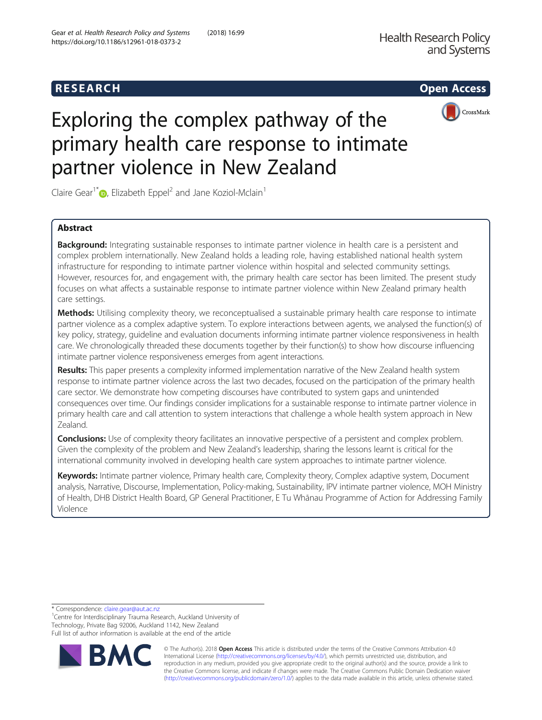

# Exploring the complex pathway of the primary health care response to intimate partner violence in New Zealand

Claire Gear<sup>1\*</sup><sup> $\bullet$ </sup>[,](http://orcid.org/0000-0002-1310-0188) Elizabeth Eppel<sup>2</sup> and Jane Koziol-Mclain<sup>1</sup>

# Abstract

Background: Integrating sustainable responses to intimate partner violence in health care is a persistent and complex problem internationally. New Zealand holds a leading role, having established national health system infrastructure for responding to intimate partner violence within hospital and selected community settings. However, resources for, and engagement with, the primary health care sector has been limited. The present study focuses on what affects a sustainable response to intimate partner violence within New Zealand primary health care settings.

Methods: Utilising complexity theory, we reconceptualised a sustainable primary health care response to intimate partner violence as a complex adaptive system. To explore interactions between agents, we analysed the function(s) of key policy, strategy, guideline and evaluation documents informing intimate partner violence responsiveness in health care. We chronologically threaded these documents together by their function(s) to show how discourse influencing intimate partner violence responsiveness emerges from agent interactions.

Results: This paper presents a complexity informed implementation narrative of the New Zealand health system response to intimate partner violence across the last two decades, focused on the participation of the primary health care sector. We demonstrate how competing discourses have contributed to system gaps and unintended consequences over time. Our findings consider implications for a sustainable response to intimate partner violence in primary health care and call attention to system interactions that challenge a whole health system approach in New Zealand.

Conclusions: Use of complexity theory facilitates an innovative perspective of a persistent and complex problem. Given the complexity of the problem and New Zealand's leadership, sharing the lessons learnt is critical for the international community involved in developing health care system approaches to intimate partner violence.

Keywords: Intimate partner violence, Primary health care, Complexity theory, Complex adaptive system, Document analysis, Narrative, Discourse, Implementation, Policy-making, Sustainability, IPV intimate partner violence, MOH Ministry of Health, DHB District Health Board, GP General Practitioner, E Tu Whānau Programme of Action for Addressing Family Violence

\* Correspondence: [claire.gear@aut.ac.nz](mailto:claire.gear@aut.ac.nz) <sup>1</sup>

<sup>1</sup> Centre for Interdisciplinary Trauma Research, Auckland University of Technology, Private Bag 92006, Auckland 1142, New Zealand Full list of author information is available at the end of the article



© The Author(s). 2018 Open Access This article is distributed under the terms of the Creative Commons Attribution 4.0 International License [\(http://creativecommons.org/licenses/by/4.0/](http://creativecommons.org/licenses/by/4.0/)), which permits unrestricted use, distribution, and reproduction in any medium, provided you give appropriate credit to the original author(s) and the source, provide a link to the Creative Commons license, and indicate if changes were made. The Creative Commons Public Domain Dedication waiver [\(http://creativecommons.org/publicdomain/zero/1.0/](http://creativecommons.org/publicdomain/zero/1.0/)) applies to the data made available in this article, unless otherwise stated.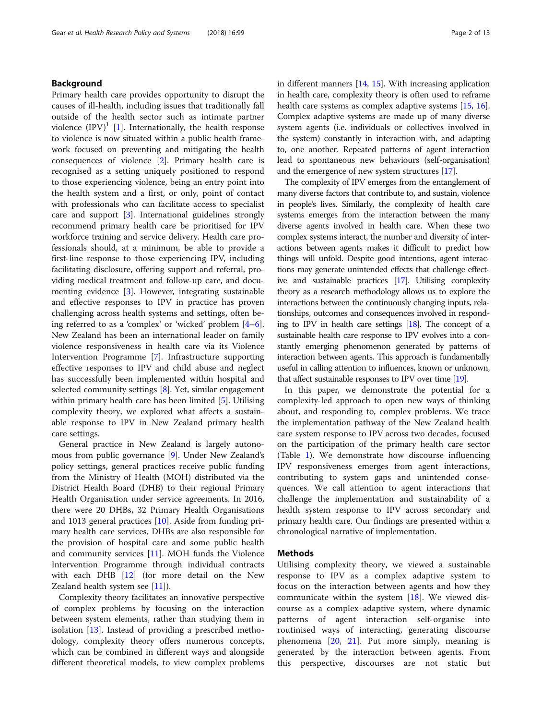# Background

Primary health care provides opportunity to disrupt the causes of ill-health, including issues that traditionally fall outside of the health sector such as intimate partner violence  $(IPV)^1$  $(IPV)^1$  [1]. Internationally, the health response to violence is now situated within a public health framework focused on preventing and mitigating the health consequences of violence [[2](#page-10-0)]. Primary health care is recognised as a setting uniquely positioned to respond to those experiencing violence, being an entry point into the health system and a first, or only, point of contact with professionals who can facilitate access to specialist care and support [\[3](#page-10-0)]. International guidelines strongly recommend primary health care be prioritised for IPV workforce training and service delivery. Health care professionals should, at a minimum, be able to provide a first-line response to those experiencing IPV, including facilitating disclosure, offering support and referral, providing medical treatment and follow-up care, and documenting evidence [[3\]](#page-10-0). However, integrating sustainable and effective responses to IPV in practice has proven challenging across health systems and settings, often being referred to as a 'complex' or 'wicked' problem [\[4](#page-10-0)–[6](#page-10-0)]. New Zealand has been an international leader on family violence responsiveness in health care via its Violence Intervention Programme [[7\]](#page-10-0). Infrastructure supporting effective responses to IPV and child abuse and neglect has successfully been implemented within hospital and selected community settings [[8\]](#page-10-0). Yet, similar engagement within primary health care has been limited [[5\]](#page-10-0). Utilising complexity theory, we explored what affects a sustainable response to IPV in New Zealand primary health care settings.

General practice in New Zealand is largely autonomous from public governance [[9\]](#page-10-0). Under New Zealand's policy settings, general practices receive public funding from the Ministry of Health (MOH) distributed via the District Health Board (DHB) to their regional Primary Health Organisation under service agreements. In 2016, there were 20 DHBs, 32 Primary Health Organisations and 1013 general practices [\[10\]](#page-10-0). Aside from funding primary health care services, DHBs are also responsible for the provision of hospital care and some public health and community services [\[11\]](#page-10-0). MOH funds the Violence Intervention Programme through individual contracts with each DHB [[12\]](#page-10-0) (for more detail on the New Zealand health system see [[11](#page-10-0)]).

Complexity theory facilitates an innovative perspective of complex problems by focusing on the interaction between system elements, rather than studying them in isolation [\[13](#page-10-0)]. Instead of providing a prescribed methodology, complexity theory offers numerous concepts, which can be combined in different ways and alongside different theoretical models, to view complex problems in different manners [[14](#page-10-0), [15](#page-10-0)]. With increasing application in health care, complexity theory is often used to reframe health care systems as complex adaptive systems [[15](#page-10-0), [16](#page-10-0)]. Complex adaptive systems are made up of many diverse system agents (i.e. individuals or collectives involved in the system) constantly in interaction with, and adapting to, one another. Repeated patterns of agent interaction lead to spontaneous new behaviours (self-organisation) and the emergence of new system structures [\[17\]](#page-10-0).

The complexity of IPV emerges from the entanglement of many diverse factors that contribute to, and sustain, violence in people's lives. Similarly, the complexity of health care systems emerges from the interaction between the many diverse agents involved in health care. When these two complex systems interact, the number and diversity of interactions between agents makes it difficult to predict how things will unfold. Despite good intentions, agent interactions may generate unintended effects that challenge effective and sustainable practices [\[17](#page-10-0)]. Utilising complexity theory as a research methodology allows us to explore the interactions between the continuously changing inputs, relationships, outcomes and consequences involved in responding to IPV in health care settings  $[18]$  $[18]$ . The concept of a sustainable health care response to IPV evolves into a constantly emerging phenomenon generated by patterns of interaction between agents. This approach is fundamentally useful in calling attention to influences, known or unknown, that affect sustainable responses to IPV over time [[19](#page-10-0)].

In this paper, we demonstrate the potential for a complexity-led approach to open new ways of thinking about, and responding to, complex problems. We trace the implementation pathway of the New Zealand health care system response to IPV across two decades, focused on the participation of the primary health care sector (Table [1](#page-2-0)). We demonstrate how discourse influencing IPV responsiveness emerges from agent interactions, contributing to system gaps and unintended consequences. We call attention to agent interactions that challenge the implementation and sustainability of a health system response to IPV across secondary and primary health care. Our findings are presented within a chronological narrative of implementation.

## Methods

Utilising complexity theory, we viewed a sustainable response to IPV as a complex adaptive system to focus on the interaction between agents and how they communicate within the system  $[18]$  $[18]$ . We viewed discourse as a complex adaptive system, where dynamic patterns of agent interaction self-organise into routinised ways of interacting, generating discourse phenomena [\[20](#page-10-0), [21](#page-10-0)]. Put more simply, meaning is generated by the interaction between agents. From this perspective, discourses are not static but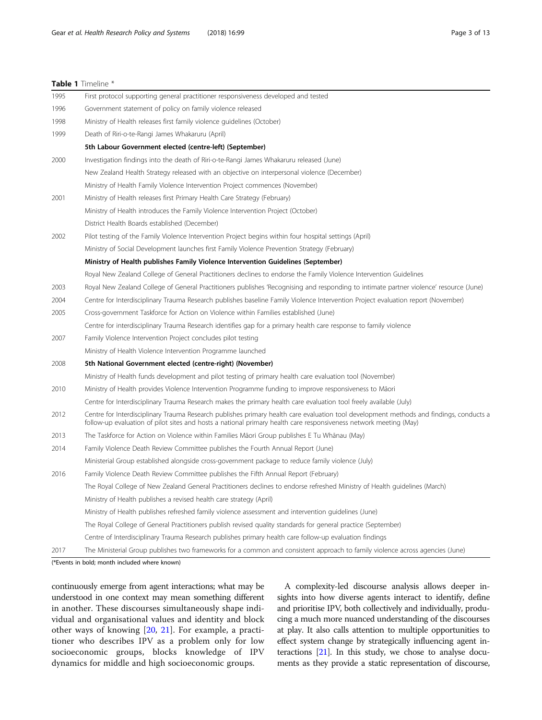# <span id="page-2-0"></span>Table 1 Timeline \*

|      | <b>IQUIE I</b> IMICING                                                                                                                                                                                                                                       |
|------|--------------------------------------------------------------------------------------------------------------------------------------------------------------------------------------------------------------------------------------------------------------|
| 1995 | First protocol supporting general practitioner responsiveness developed and tested                                                                                                                                                                           |
| 1996 | Government statement of policy on family violence released                                                                                                                                                                                                   |
| 1998 | Ministry of Health releases first family violence quidelines (October)                                                                                                                                                                                       |
| 1999 | Death of Riri-o-te-Rangi James Whakaruru (April)                                                                                                                                                                                                             |
|      | 5th Labour Government elected (centre-left) (September)                                                                                                                                                                                                      |
| 2000 | Investigation findings into the death of Riri-o-te-Rangi James Whakaruru released (June)                                                                                                                                                                     |
|      | New Zealand Health Strategy released with an objective on interpersonal violence (December)                                                                                                                                                                  |
|      | Ministry of Health Family Violence Intervention Project commences (November)                                                                                                                                                                                 |
| 2001 | Ministry of Health releases first Primary Health Care Strategy (February)                                                                                                                                                                                    |
|      | Ministry of Health introduces the Family Violence Intervention Project (October)                                                                                                                                                                             |
|      | District Health Boards established (December)                                                                                                                                                                                                                |
| 2002 | Pilot testing of the Family Violence Intervention Project begins within four hospital settings (April)                                                                                                                                                       |
|      | Ministry of Social Development launches first Family Violence Prevention Strategy (February)                                                                                                                                                                 |
|      | Ministry of Health publishes Family Violence Intervention Guidelines (September)                                                                                                                                                                             |
|      | Royal New Zealand College of General Practitioners declines to endorse the Family Violence Intervention Guidelines                                                                                                                                           |
| 2003 | Royal New Zealand College of General Practitioners publishes 'Recognising and responding to intimate partner violence' resource (June)                                                                                                                       |
| 2004 | Centre for Interdisciplinary Trauma Research publishes baseline Family Violence Intervention Project evaluation report (November)                                                                                                                            |
| 2005 | Cross-government Taskforce for Action on Violence within Families established (June)                                                                                                                                                                         |
|      | Centre for interdisciplinary Trauma Research identifies gap for a primary health care response to family violence                                                                                                                                            |
| 2007 | Family Violence Intervention Project concludes pilot testing                                                                                                                                                                                                 |
|      | Ministry of Health Violence Intervention Programme launched                                                                                                                                                                                                  |
| 2008 | 5th National Government elected (centre-right) (November)                                                                                                                                                                                                    |
|      | Ministry of Health funds development and pilot testing of primary health care evaluation tool (November)                                                                                                                                                     |
| 2010 | Ministry of Health provides Violence Intervention Programme funding to improve responsiveness to Mãori                                                                                                                                                       |
|      | Centre for Interdisciplinary Trauma Research makes the primary health care evaluation tool freely available (July)                                                                                                                                           |
| 2012 | Centre for Interdisciplinary Trauma Research publishes primary health care evaluation tool development methods and findings, conducts a<br>follow-up evaluation of pilot sites and hosts a national primary health care responsiveness network meeting (May) |
| 2013 | The Taskforce for Action on Violence within Families Māori Group publishes E Tu Whānau (May)                                                                                                                                                                 |
| 2014 | Family Violence Death Review Committee publishes the Fourth Annual Report (June)                                                                                                                                                                             |
|      | Ministerial Group established alongside cross-government package to reduce family violence (July)                                                                                                                                                            |
| 2016 | Family Violence Death Review Committee publishes the Fifth Annual Report (February)                                                                                                                                                                          |
|      | The Royal College of New Zealand General Practitioners declines to endorse refreshed Ministry of Health guidelines (March)                                                                                                                                   |
|      | Ministry of Health publishes a revised health care strategy (April)                                                                                                                                                                                          |
|      | Ministry of Health publishes refreshed family violence assessment and intervention quidelines (June)                                                                                                                                                         |
|      | The Royal College of General Practitioners publish revised quality standards for general practice (September)                                                                                                                                                |
|      | Centre of Interdisciplinary Trauma Research publishes primary health care follow-up evaluation findings                                                                                                                                                      |
| 2017 | The Ministerial Group publishes two frameworks for a common and consistent approach to family violence across agencies (June)                                                                                                                                |

(\*Events in bold; month included where known)

continuously emerge from agent interactions; what may be understood in one context may mean something different in another. These discourses simultaneously shape individual and organisational values and identity and block other ways of knowing [[20,](#page-10-0) [21\]](#page-10-0). For example, a practitioner who describes IPV as a problem only for low socioeconomic groups, blocks knowledge of IPV dynamics for middle and high socioeconomic groups.

A complexity-led discourse analysis allows deeper insights into how diverse agents interact to identify, define and prioritise IPV, both collectively and individually, producing a much more nuanced understanding of the discourses at play. It also calls attention to multiple opportunities to effect system change by strategically influencing agent interactions [\[21\]](#page-10-0). In this study, we chose to analyse documents as they provide a static representation of discourse,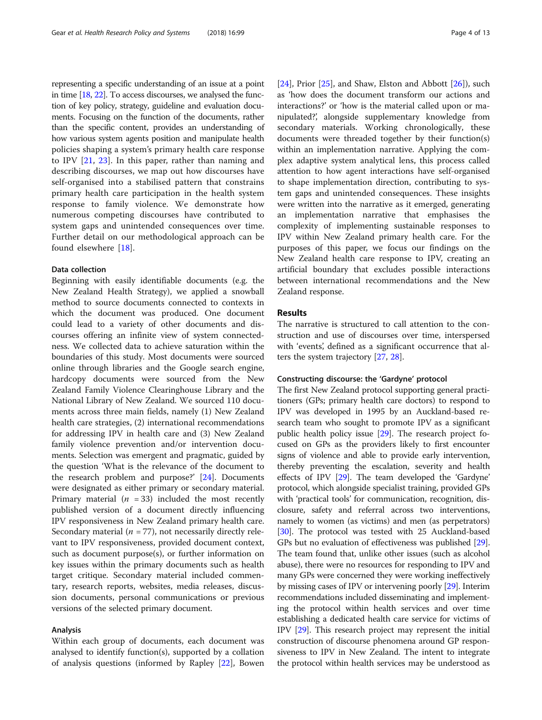representing a specific understanding of an issue at a point in time [\[18](#page-10-0), [22](#page-10-0)]. To access discourses, we analysed the function of key policy, strategy, guideline and evaluation documents. Focusing on the function of the documents, rather than the specific content, provides an understanding of how various system agents position and manipulate health policies shaping a system's primary health care response to IPV [\[21](#page-10-0), [23](#page-10-0)]. In this paper, rather than naming and describing discourses, we map out how discourses have self-organised into a stabilised pattern that constrains primary health care participation in the health system response to family violence. We demonstrate how numerous competing discourses have contributed to system gaps and unintended consequences over time. Further detail on our methodological approach can be found elsewhere [[18\]](#page-10-0).

# Data collection

Beginning with easily identifiable documents (e.g. the New Zealand Health Strategy), we applied a snowball method to source documents connected to contexts in which the document was produced. One document could lead to a variety of other documents and discourses offering an infinite view of system connectedness. We collected data to achieve saturation within the boundaries of this study. Most documents were sourced online through libraries and the Google search engine, hardcopy documents were sourced from the New Zealand Family Violence Clearinghouse Library and the National Library of New Zealand. We sourced 110 documents across three main fields, namely (1) New Zealand health care strategies, (2) international recommendations for addressing IPV in health care and (3) New Zealand family violence prevention and/or intervention documents. Selection was emergent and pragmatic, guided by the question 'What is the relevance of the document to the research problem and purpose?' [[24\]](#page-10-0). Documents were designated as either primary or secondary material. Primary material ( $n = 33$ ) included the most recently published version of a document directly influencing IPV responsiveness in New Zealand primary health care. Secondary material ( $n = 77$ ), not necessarily directly relevant to IPV responsiveness, provided document context, such as document purpose(s), or further information on key issues within the primary documents such as health target critique. Secondary material included commentary, research reports, websites, media releases, discussion documents, personal communications or previous versions of the selected primary document.

# Analysis

Within each group of documents, each document was analysed to identify function(s), supported by a collation of analysis questions (informed by Rapley [\[22\]](#page-10-0), Bowen [[24\]](#page-10-0), Prior [\[25\]](#page-10-0), and Shaw, Elston and Abbott [\[26](#page-10-0)]), such as 'how does the document transform our actions and interactions?' or 'how is the material called upon or manipulated?', alongside supplementary knowledge from secondary materials. Working chronologically, these documents were threaded together by their function(s) within an implementation narrative. Applying the complex adaptive system analytical lens, this process called attention to how agent interactions have self-organised to shape implementation direction, contributing to system gaps and unintended consequences. These insights were written into the narrative as it emerged, generating an implementation narrative that emphasises the complexity of implementing sustainable responses to IPV within New Zealand primary health care. For the purposes of this paper, we focus our findings on the New Zealand health care response to IPV, creating an artificial boundary that excludes possible interactions between international recommendations and the New Zealand response.

# Results

The narrative is structured to call attention to the construction and use of discourses over time, interspersed with 'events', defined as a significant occurrence that alters the system trajectory [\[27](#page-10-0), [28\]](#page-10-0).

## Constructing discourse: the 'Gardyne' protocol

The first New Zealand protocol supporting general practitioners (GPs; primary health care doctors) to respond to IPV was developed in 1995 by an Auckland-based research team who sought to promote IPV as a significant public health policy issue [[29](#page-10-0)]. The research project focused on GPs as the providers likely to first encounter signs of violence and able to provide early intervention, thereby preventing the escalation, severity and health effects of IPV [[29](#page-10-0)]. The team developed the 'Gardyne' protocol, which alongside specialist training, provided GPs with 'practical tools' for communication, recognition, disclosure, safety and referral across two interventions, namely to women (as victims) and men (as perpetrators) [[30](#page-10-0)]. The protocol was tested with 25 Auckland-based GPs but no evaluation of effectiveness was published [[29](#page-10-0)]. The team found that, unlike other issues (such as alcohol abuse), there were no resources for responding to IPV and many GPs were concerned they were working ineffectively by missing cases of IPV or intervening poorly [\[29\]](#page-10-0). Interim recommendations included disseminating and implementing the protocol within health services and over time establishing a dedicated health care service for victims of IPV [\[29\]](#page-10-0). This research project may represent the initial construction of discourse phenomena around GP responsiveness to IPV in New Zealand. The intent to integrate the protocol within health services may be understood as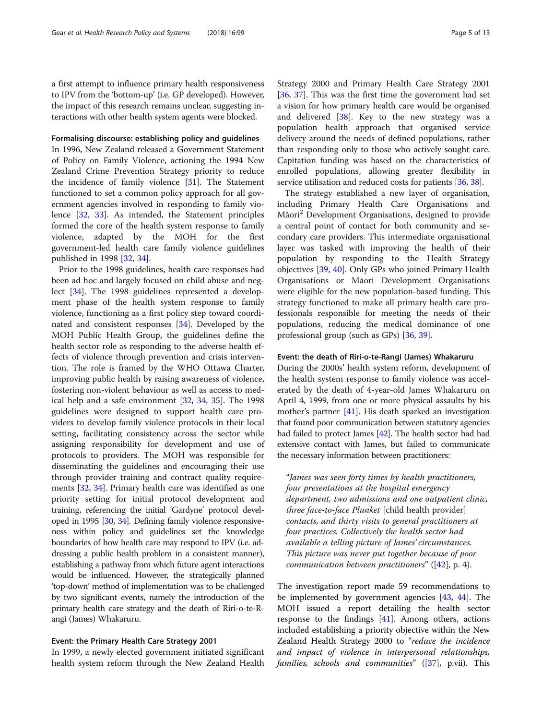a first attempt to influence primary health responsiveness to IPV from the 'bottom-up' (i.e. GP developed). However, the impact of this research remains unclear, suggesting interactions with other health system agents were blocked.

#### Formalising discourse: establishing policy and guidelines

In 1996, New Zealand released a Government Statement of Policy on Family Violence, actioning the 1994 New Zealand Crime Prevention Strategy priority to reduce the incidence of family violence [\[31](#page-10-0)]. The Statement functioned to set a common policy approach for all government agencies involved in responding to family violence [[32](#page-10-0), [33](#page-10-0)]. As intended, the Statement principles formed the core of the health system response to family violence, adapted by the MOH for the first government-led health care family violence guidelines published in 1998 [[32,](#page-10-0) [34](#page-10-0)].

Prior to the 1998 guidelines, health care responses had been ad hoc and largely focused on child abuse and neglect [[34\]](#page-10-0). The 1998 guidelines represented a development phase of the health system response to family violence, functioning as a first policy step toward coordinated and consistent responses [\[34](#page-10-0)]. Developed by the MOH Public Health Group, the guidelines define the health sector role as responding to the adverse health effects of violence through prevention and crisis intervention. The role is framed by the WHO Ottawa Charter, improving public health by raising awareness of violence, fostering non-violent behaviour as well as access to medical help and a safe environment [[32,](#page-10-0) [34](#page-10-0), [35](#page-11-0)]. The 1998 guidelines were designed to support health care providers to develop family violence protocols in their local setting, facilitating consistency across the sector while assigning responsibility for development and use of protocols to providers. The MOH was responsible for disseminating the guidelines and encouraging their use through provider training and contract quality requirements [[32,](#page-10-0) [34\]](#page-10-0). Primary health care was identified as one priority setting for initial protocol development and training, referencing the initial 'Gardyne' protocol developed in 1995 [\[30](#page-10-0), [34\]](#page-10-0). Defining family violence responsiveness within policy and guidelines set the knowledge boundaries of how health care may respond to IPV (i.e. addressing a public health problem in a consistent manner), establishing a pathway from which future agent interactions would be influenced. However, the strategically planned 'top-down' method of implementation was to be challenged by two significant events, namely the introduction of the primary health care strategy and the death of Riri-o-te-Rangi (James) Whakaruru.

### Event: the Primary Health Care Strategy 2001

In 1999, a newly elected government initiated significant health system reform through the New Zealand Health Strategy 2000 and Primary Health Care Strategy 2001 [[36,](#page-11-0) [37](#page-11-0)]. This was the first time the government had set a vision for how primary health care would be organised and delivered  $[38]$  $[38]$ . Key to the new strategy was a population health approach that organised service delivery around the needs of defined populations, rather than responding only to those who actively sought care. Capitation funding was based on the characteristics of enrolled populations, allowing greater flexibility in service utilisation and reduced costs for patients [[36,](#page-11-0) [38\]](#page-11-0).

The strategy established a new layer of organisation, including Primary Health Care Organisations and Māori<sup>2</sup> Development Organisations, designed to provide a central point of contact for both community and secondary care providers. This intermediate organisational layer was tasked with improving the health of their population by responding to the Health Strategy objectives [[39,](#page-11-0) [40\]](#page-11-0). Only GPs who joined Primary Health Organisations or Māori Development Organisations were eligible for the new population-based funding. This strategy functioned to make all primary health care professionals responsible for meeting the needs of their populations, reducing the medical dominance of one professional group (such as GPs) [\[36](#page-11-0), [39](#page-11-0)].

## Event: the death of Riri-o-te-Rangi (James) Whakaruru

During the 2000s' health system reform, development of the health system response to family violence was accelerated by the death of 4-year-old James Whakaruru on April 4, 1999, from one or more physical assaults by his mother's partner [[41\]](#page-11-0). His death sparked an investigation that found poor communication between statutory agencies had failed to protect James [[42](#page-11-0)]. The health sector had had extensive contact with James, but failed to communicate the necessary information between practitioners:

"James was seen forty times by health practitioners, four presentations at the hospital emergency department, two admissions and one outpatient clinic, three face-to-face Plunket [child health provider] contacts, and thirty visits to general practitioners at four practices. Collectively the health sector had available a telling picture of James' circumstances. This picture was never put together because of poor communication between practitioners" ( $[42]$  $[42]$ , p. 4).

The investigation report made 59 recommendations to be implemented by government agencies [\[43](#page-11-0), [44\]](#page-11-0). The MOH issued a report detailing the health sector response to the findings  $[41]$  $[41]$ . Among others, actions included establishing a priority objective within the New Zealand Health Strategy 2000 to "reduce the incidence and impact of violence in interpersonal relationships, families, schools and communities" ([\[37\]](#page-11-0), p.vii). This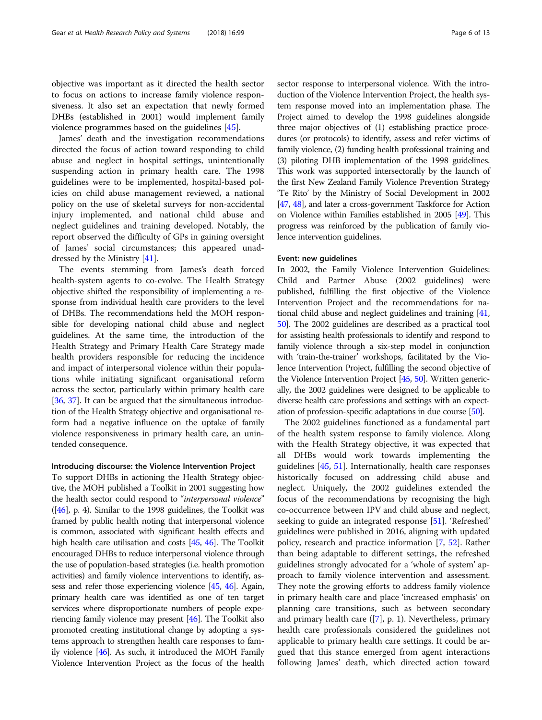objective was important as it directed the health sector to focus on actions to increase family violence responsiveness. It also set an expectation that newly formed DHBs (established in 2001) would implement family violence programmes based on the guidelines [[45](#page-11-0)].

James' death and the investigation recommendations directed the focus of action toward responding to child abuse and neglect in hospital settings, unintentionally suspending action in primary health care. The 1998 guidelines were to be implemented, hospital-based policies on child abuse management reviewed, a national policy on the use of skeletal surveys for non-accidental injury implemented, and national child abuse and neglect guidelines and training developed. Notably, the report observed the difficulty of GPs in gaining oversight of James' social circumstances; this appeared unaddressed by the Ministry [\[41](#page-11-0)].

The events stemming from James's death forced health-system agents to co-evolve. The Health Strategy objective shifted the responsibility of implementing a response from individual health care providers to the level of DHBs. The recommendations held the MOH responsible for developing national child abuse and neglect guidelines. At the same time, the introduction of the Health Strategy and Primary Health Care Strategy made health providers responsible for reducing the incidence and impact of interpersonal violence within their populations while initiating significant organisational reform across the sector, particularly within primary health care [[36](#page-11-0), [37](#page-11-0)]. It can be argued that the simultaneous introduction of the Health Strategy objective and organisational reform had a negative influence on the uptake of family violence responsiveness in primary health care, an unintended consequence.

# Introducing discourse: the Violence Intervention Project

To support DHBs in actioning the Health Strategy objective, the MOH published a Toolkit in 2001 suggesting how the health sector could respond to "interpersonal violence" ([[46](#page-11-0)], p. 4). Similar to the 1998 guidelines, the Toolkit was framed by public health noting that interpersonal violence is common, associated with significant health effects and high health care utilisation and costs [\[45,](#page-11-0) [46\]](#page-11-0). The Toolkit encouraged DHBs to reduce interpersonal violence through the use of population-based strategies (i.e. health promotion activities) and family violence interventions to identify, assess and refer those experiencing violence [\[45,](#page-11-0) [46\]](#page-11-0). Again, primary health care was identified as one of ten target services where disproportionate numbers of people experiencing family violence may present [[46](#page-11-0)]. The Toolkit also promoted creating institutional change by adopting a systems approach to strengthen health care responses to family violence [\[46\]](#page-11-0). As such, it introduced the MOH Family Violence Intervention Project as the focus of the health sector response to interpersonal violence. With the introduction of the Violence Intervention Project, the health system response moved into an implementation phase. The Project aimed to develop the 1998 guidelines alongside three major objectives of (1) establishing practice procedures (or protocols) to identify, assess and refer victims of family violence, (2) funding health professional training and (3) piloting DHB implementation of the 1998 guidelines. This work was supported intersectorally by the launch of the first New Zealand Family Violence Prevention Strategy 'Te Rito' by the Ministry of Social Development in 2002 [[47](#page-11-0), [48](#page-11-0)], and later a cross-government Taskforce for Action on Violence within Families established in 2005 [\[49](#page-11-0)]. This progress was reinforced by the publication of family violence intervention guidelines.

#### Event: new guidelines

In 2002, the Family Violence Intervention Guidelines: Child and Partner Abuse (2002 guidelines) were published, fulfilling the first objective of the Violence Intervention Project and the recommendations for national child abuse and neglect guidelines and training [[41](#page-11-0), [50](#page-11-0)]. The 2002 guidelines are described as a practical tool for assisting health professionals to identify and respond to family violence through a six-step model in conjunction with 'train-the-trainer' workshops, facilitated by the Violence Intervention Project, fulfilling the second objective of the Violence Intervention Project [\[45,](#page-11-0) [50](#page-11-0)]. Written generically, the 2002 guidelines were designed to be applicable to diverse health care professions and settings with an expectation of profession-specific adaptations in due course [\[50](#page-11-0)].

The 2002 guidelines functioned as a fundamental part of the health system response to family violence. Along with the Health Strategy objective, it was expected that all DHBs would work towards implementing the guidelines [[45,](#page-11-0) [51\]](#page-11-0). Internationally, health care responses historically focused on addressing child abuse and neglect. Uniquely, the 2002 guidelines extended the focus of the recommendations by recognising the high co-occurrence between IPV and child abuse and neglect, seeking to guide an integrated response [[51\]](#page-11-0). 'Refreshed' guidelines were published in 2016, aligning with updated policy, research and practice information [\[7](#page-10-0), [52\]](#page-11-0). Rather than being adaptable to different settings, the refreshed guidelines strongly advocated for a 'whole of system' approach to family violence intervention and assessment. They note the growing efforts to address family violence in primary health care and place 'increased emphasis' on planning care transitions, such as between secondary and primary health care ([\[7](#page-10-0)], p. 1). Nevertheless, primary health care professionals considered the guidelines not applicable to primary health care settings. It could be argued that this stance emerged from agent interactions following James' death, which directed action toward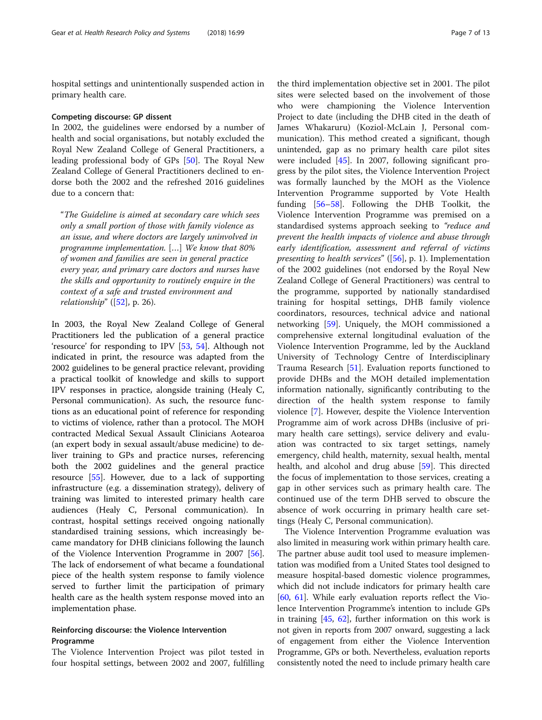hospital settings and unintentionally suspended action in primary health care.

# Competing discourse: GP dissent

In 2002, the guidelines were endorsed by a number of health and social organisations, but notably excluded the Royal New Zealand College of General Practitioners, a leading professional body of GPs [[50](#page-11-0)]. The Royal New Zealand College of General Practitioners declined to endorse both the 2002 and the refreshed 2016 guidelines due to a concern that:

"The Guideline is aimed at secondary care which sees only a small portion of those with family violence as an issue, and where doctors are largely uninvolved in programme implementation. […] We know that 80% of women and families are seen in general practice every year, and primary care doctors and nurses have the skills and opportunity to routinely enquire in the context of a safe and trusted environment and relationship" ([[52](#page-11-0)], p. 26).

In 2003, the Royal New Zealand College of General Practitioners led the publication of a general practice 'resource' for responding to IPV [\[53](#page-11-0), [54](#page-11-0)]. Although not indicated in print, the resource was adapted from the 2002 guidelines to be general practice relevant, providing a practical toolkit of knowledge and skills to support IPV responses in practice, alongside training (Healy C, Personal communication). As such, the resource functions as an educational point of reference for responding to victims of violence, rather than a protocol. The MOH contracted Medical Sexual Assault Clinicians Aotearoa (an expert body in sexual assault/abuse medicine) to deliver training to GPs and practice nurses, referencing both the 2002 guidelines and the general practice resource [\[55](#page-11-0)]. However, due to a lack of supporting infrastructure (e.g. a dissemination strategy), delivery of training was limited to interested primary health care audiences (Healy C, Personal communication). In contrast, hospital settings received ongoing nationally standardised training sessions, which increasingly became mandatory for DHB clinicians following the launch of the Violence Intervention Programme in 2007 [\[56](#page-11-0)]. The lack of endorsement of what became a foundational piece of the health system response to family violence served to further limit the participation of primary health care as the health system response moved into an implementation phase.

# Reinforcing discourse: the Violence Intervention Programme

The Violence Intervention Project was pilot tested in four hospital settings, between 2002 and 2007, fulfilling

the third implementation objective set in 2001. The pilot sites were selected based on the involvement of those who were championing the Violence Intervention Project to date (including the DHB cited in the death of James Whakaruru) (Koziol-McLain J, Personal communication). This method created a significant, though unintended, gap as no primary health care pilot sites were included [[45\]](#page-11-0). In 2007, following significant progress by the pilot sites, the Violence Intervention Project was formally launched by the MOH as the Violence Intervention Programme supported by Vote Health funding [[56](#page-11-0)–[58](#page-11-0)]. Following the DHB Toolkit, the Violence Intervention Programme was premised on a standardised systems approach seeking to "reduce and prevent the health impacts of violence and abuse through early identification, assessment and referral of victims presenting to health services"  $(56)$ , p. 1). Implementation of the 2002 guidelines (not endorsed by the Royal New Zealand College of General Practitioners) was central to the programme, supported by nationally standardised training for hospital settings, DHB family violence coordinators, resources, technical advice and national networking [\[59\]](#page-11-0). Uniquely, the MOH commissioned a comprehensive external longitudinal evaluation of the Violence Intervention Programme, led by the Auckland University of Technology Centre of Interdisciplinary Trauma Research [\[51](#page-11-0)]. Evaluation reports functioned to provide DHBs and the MOH detailed implementation information nationally, significantly contributing to the direction of the health system response to family violence [[7\]](#page-10-0). However, despite the Violence Intervention Programme aim of work across DHBs (inclusive of primary health care settings), service delivery and evaluation was contracted to six target settings, namely emergency, child health, maternity, sexual health, mental health, and alcohol and drug abuse [\[59](#page-11-0)]. This directed the focus of implementation to those services, creating a gap in other services such as primary health care. The continued use of the term DHB served to obscure the absence of work occurring in primary health care settings (Healy C, Personal communication).

The Violence Intervention Programme evaluation was also limited in measuring work within primary health care. The partner abuse audit tool used to measure implementation was modified from a United States tool designed to measure hospital-based domestic violence programmes, which did not include indicators for primary health care [[60](#page-11-0), [61\]](#page-11-0). While early evaluation reports reflect the Violence Intervention Programme's intention to include GPs in training [\[45](#page-11-0), [62](#page-11-0)], further information on this work is not given in reports from 2007 onward, suggesting a lack of engagement from either the Violence Intervention Programme, GPs or both. Nevertheless, evaluation reports consistently noted the need to include primary health care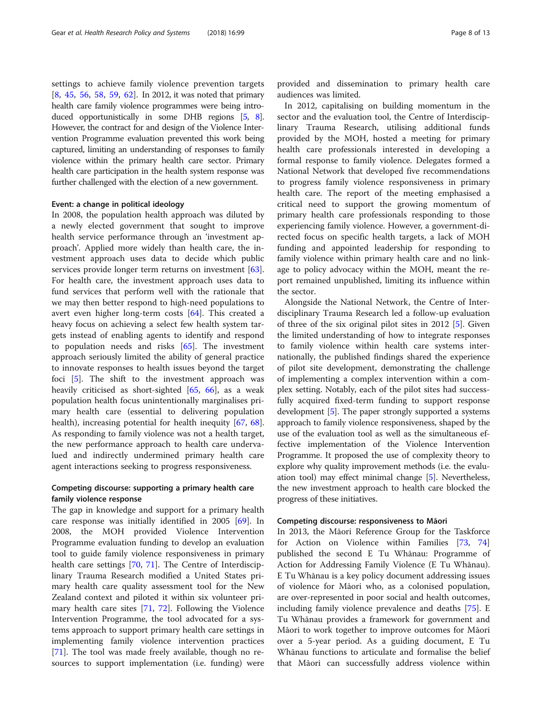settings to achieve family violence prevention targets [[8,](#page-10-0) [45](#page-11-0), [56,](#page-11-0) [58,](#page-11-0) [59](#page-11-0), [62](#page-11-0)]. In 2012, it was noted that primary health care family violence programmes were being introduced opportunistically in some DHB regions [\[5,](#page-10-0) [8](#page-10-0)]. However, the contract for and design of the Violence Intervention Programme evaluation prevented this work being captured, limiting an understanding of responses to family violence within the primary health care sector. Primary health care participation in the health system response was further challenged with the election of a new government.

## Event: a change in political ideology

In 2008, the population health approach was diluted by a newly elected government that sought to improve health service performance through an 'investment approach'. Applied more widely than health care, the investment approach uses data to decide which public services provide longer term returns on investment [\[63](#page-11-0)]. For health care, the investment approach uses data to fund services that perform well with the rationale that we may then better respond to high-need populations to avert even higher long-term costs [\[64](#page-11-0)]. This created a heavy focus on achieving a select few health system targets instead of enabling agents to identify and respond to population needs and risks [\[65](#page-11-0)]. The investment approach seriously limited the ability of general practice to innovate responses to health issues beyond the target foci [\[5](#page-10-0)]. The shift to the investment approach was heavily criticised as short-sighted [\[65](#page-11-0), [66\]](#page-11-0), as a weak population health focus unintentionally marginalises primary health care (essential to delivering population health), increasing potential for health inequity [[67,](#page-11-0) [68](#page-11-0)]. As responding to family violence was not a health target, the new performance approach to health care undervalued and indirectly undermined primary health care agent interactions seeking to progress responsiveness.

# Competing discourse: supporting a primary health care family violence response

The gap in knowledge and support for a primary health care response was initially identified in 2005 [\[69](#page-11-0)]. In 2008, the MOH provided Violence Intervention Programme evaluation funding to develop an evaluation tool to guide family violence responsiveness in primary health care settings [[70](#page-11-0), [71](#page-11-0)]. The Centre of Interdisciplinary Trauma Research modified a United States primary health care quality assessment tool for the New Zealand context and piloted it within six volunteer primary health care sites [[71,](#page-11-0) [72](#page-11-0)]. Following the Violence Intervention Programme, the tool advocated for a systems approach to support primary health care settings in implementing family violence intervention practices [[71\]](#page-11-0). The tool was made freely available, though no resources to support implementation (i.e. funding) were

provided and dissemination to primary health care audiences was limited.

In 2012, capitalising on building momentum in the sector and the evaluation tool, the Centre of Interdisciplinary Trauma Research, utilising additional funds provided by the MOH, hosted a meeting for primary health care professionals interested in developing a formal response to family violence. Delegates formed a National Network that developed five recommendations to progress family violence responsiveness in primary health care. The report of the meeting emphasised a critical need to support the growing momentum of primary health care professionals responding to those experiencing family violence. However, a government-directed focus on specific health targets, a lack of MOH funding and appointed leadership for responding to family violence within primary health care and no linkage to policy advocacy within the MOH, meant the report remained unpublished, limiting its influence within the sector.

Alongside the National Network, the Centre of Interdisciplinary Trauma Research led a follow-up evaluation of three of the six original pilot sites in 2012 [[5](#page-10-0)]. Given the limited understanding of how to integrate responses to family violence within health care systems internationally, the published findings shared the experience of pilot site development, demonstrating the challenge of implementing a complex intervention within a complex setting. Notably, each of the pilot sites had successfully acquired fixed-term funding to support response development [[5\]](#page-10-0). The paper strongly supported a systems approach to family violence responsiveness, shaped by the use of the evaluation tool as well as the simultaneous effective implementation of the Violence Intervention Programme. It proposed the use of complexity theory to explore why quality improvement methods (i.e. the evaluation tool) may effect minimal change [\[5](#page-10-0)]. Nevertheless, the new investment approach to health care blocked the progress of these initiatives.

## Competing discourse: responsiveness to Māori

In 2013, the Māori Reference Group for the Taskforce for Action on Violence within Families [[73,](#page-11-0) [74](#page-11-0)] published the second E Tu Whānau: Programme of Action for Addressing Family Violence (E Tu Whānau). E Tu Whānau is a key policy document addressing issues of violence for Māori who, as a colonised population, are over-represented in poor social and health outcomes, including family violence prevalence and deaths [[75\]](#page-11-0). E Tu Whānau provides a framework for government and Māori to work together to improve outcomes for Māori over a 5-year period. As a guiding document, E Tu Whānau functions to articulate and formalise the belief that Māori can successfully address violence within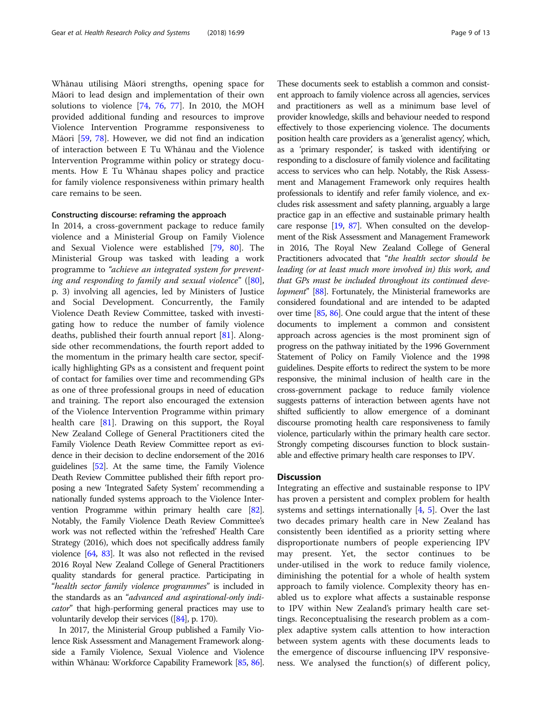Whānau utilising Māori strengths, opening space for Māori to lead design and implementation of their own solutions to violence [\[74](#page-11-0), [76](#page-11-0), [77](#page-11-0)]. In 2010, the MOH provided additional funding and resources to improve Violence Intervention Programme responsiveness to Māori [[59,](#page-11-0) [78\]](#page-11-0). However, we did not find an indication of interaction between E Tu Whānau and the Violence Intervention Programme within policy or strategy documents. How E Tu Whānau shapes policy and practice for family violence responsiveness within primary health care remains to be seen.

# Constructing discourse: reframing the approach

In 2014, a cross-government package to reduce family violence and a Ministerial Group on Family Violence and Sexual Violence were established [\[79,](#page-11-0) [80](#page-11-0)]. The Ministerial Group was tasked with leading a work programme to "achieve an integrated system for preventing and responding to family and sexual violence" ([\[80](#page-11-0)], p. 3) involving all agencies, led by Ministers of Justice and Social Development. Concurrently, the Family Violence Death Review Committee, tasked with investigating how to reduce the number of family violence deaths, published their fourth annual report [[81\]](#page-11-0). Alongside other recommendations, the fourth report added to the momentum in the primary health care sector, specifically highlighting GPs as a consistent and frequent point of contact for families over time and recommending GPs as one of three professional groups in need of education and training. The report also encouraged the extension of the Violence Intervention Programme within primary health care [[81\]](#page-11-0). Drawing on this support, the Royal New Zealand College of General Practitioners cited the Family Violence Death Review Committee report as evidence in their decision to decline endorsement of the 2016 guidelines [\[52\]](#page-11-0). At the same time, the Family Violence Death Review Committee published their fifth report proposing a new 'Integrated Safety System' recommending a nationally funded systems approach to the Violence Intervention Programme within primary health care [\[82](#page-11-0)]. Notably, the Family Violence Death Review Committee's work was not reflected within the 'refreshed' Health Care Strategy (2016), which does not specifically address family violence [\[64](#page-11-0), [83](#page-11-0)]. It was also not reflected in the revised 2016 Royal New Zealand College of General Practitioners quality standards for general practice. Participating in "health sector family violence programmes" is included in the standards as an "advanced and aspirational-only indicator" that high-performing general practices may use to voluntarily develop their services ([\[84\]](#page-11-0), p. 170).

In 2017, the Ministerial Group published a Family Violence Risk Assessment and Management Framework alongside a Family Violence, Sexual Violence and Violence within Whānau: Workforce Capability Framework [[85,](#page-11-0) [86](#page-12-0)].

These documents seek to establish a common and consistent approach to family violence across all agencies, services and practitioners as well as a minimum base level of provider knowledge, skills and behaviour needed to respond effectively to those experiencing violence. The documents position health care providers as a 'generalist agency, which, ' as a 'primary responder', is tasked with identifying or responding to a disclosure of family violence and facilitating access to services who can help. Notably, the Risk Assessment and Management Framework only requires health professionals to identify and refer family violence, and excludes risk assessment and safety planning, arguably a large practice gap in an effective and sustainable primary health care response [\[19,](#page-10-0) [87\]](#page-12-0). When consulted on the development of the Risk Assessment and Management Framework in 2016, The Royal New Zealand College of General Practitioners advocated that "the health sector should be leading (or at least much more involved in) this work, and that GPs must be included throughout its continued deve-lopment" [[88\]](#page-12-0). Fortunately, the Ministerial frameworks are considered foundational and are intended to be adapted over time [\[85](#page-11-0), [86\]](#page-12-0). One could argue that the intent of these documents to implement a common and consistent approach across agencies is the most prominent sign of progress on the pathway initiated by the 1996 Government Statement of Policy on Family Violence and the 1998 guidelines. Despite efforts to redirect the system to be more responsive, the minimal inclusion of health care in the cross-government package to reduce family violence suggests patterns of interaction between agents have not shifted sufficiently to allow emergence of a dominant discourse promoting health care responsiveness to family violence, particularly within the primary health care sector. Strongly competing discourses function to block sustainable and effective primary health care responses to IPV.

# **Discussion**

Integrating an effective and sustainable response to IPV has proven a persistent and complex problem for health systems and settings internationally [\[4](#page-10-0), [5](#page-10-0)]. Over the last two decades primary health care in New Zealand has consistently been identified as a priority setting where disproportionate numbers of people experiencing IPV may present. Yet, the sector continues to be under-utilised in the work to reduce family violence, diminishing the potential for a whole of health system approach to family violence. Complexity theory has enabled us to explore what affects a sustainable response to IPV within New Zealand's primary health care settings. Reconceptualising the research problem as a complex adaptive system calls attention to how interaction between system agents with these documents leads to the emergence of discourse influencing IPV responsiveness. We analysed the function(s) of different policy,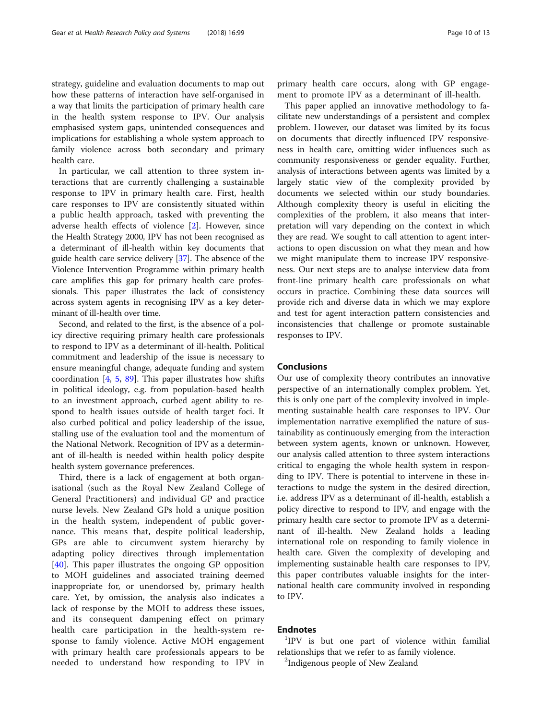strategy, guideline and evaluation documents to map out how these patterns of interaction have self-organised in a way that limits the participation of primary health care in the health system response to IPV. Our analysis emphasised system gaps, unintended consequences and implications for establishing a whole system approach to family violence across both secondary and primary health care.

In particular, we call attention to three system interactions that are currently challenging a sustainable response to IPV in primary health care. First, health care responses to IPV are consistently situated within a public health approach, tasked with preventing the adverse health effects of violence [[2](#page-10-0)]. However, since the Health Strategy 2000, IPV has not been recognised as a determinant of ill-health within key documents that guide health care service delivery [\[37\]](#page-11-0). The absence of the Violence Intervention Programme within primary health care amplifies this gap for primary health care professionals. This paper illustrates the lack of consistency across system agents in recognising IPV as a key determinant of ill-health over time.

Second, and related to the first, is the absence of a policy directive requiring primary health care professionals to respond to IPV as a determinant of ill-health. Political commitment and leadership of the issue is necessary to ensure meaningful change, adequate funding and system coordination [[4,](#page-10-0) [5](#page-10-0), [89](#page-12-0)]. This paper illustrates how shifts in political ideology, e.g. from population-based health to an investment approach, curbed agent ability to respond to health issues outside of health target foci. It also curbed political and policy leadership of the issue, stalling use of the evaluation tool and the momentum of the National Network. Recognition of IPV as a determinant of ill-health is needed within health policy despite health system governance preferences.

Third, there is a lack of engagement at both organisational (such as the Royal New Zealand College of General Practitioners) and individual GP and practice nurse levels. New Zealand GPs hold a unique position in the health system, independent of public governance. This means that, despite political leadership, GPs are able to circumvent system hierarchy by adapting policy directives through implementation [[40\]](#page-11-0). This paper illustrates the ongoing GP opposition to MOH guidelines and associated training deemed inappropriate for, or unendorsed by, primary health care. Yet, by omission, the analysis also indicates a lack of response by the MOH to address these issues, and its consequent dampening effect on primary health care participation in the health-system response to family violence. Active MOH engagement with primary health care professionals appears to be needed to understand how responding to IPV in

This paper applied an innovative methodology to facilitate new understandings of a persistent and complex problem. However, our dataset was limited by its focus on documents that directly influenced IPV responsiveness in health care, omitting wider influences such as community responsiveness or gender equality. Further, analysis of interactions between agents was limited by a largely static view of the complexity provided by documents we selected within our study boundaries. Although complexity theory is useful in eliciting the complexities of the problem, it also means that interpretation will vary depending on the context in which they are read. We sought to call attention to agent interactions to open discussion on what they mean and how we might manipulate them to increase IPV responsiveness. Our next steps are to analyse interview data from front-line primary health care professionals on what occurs in practice. Combining these data sources will provide rich and diverse data in which we may explore and test for agent interaction pattern consistencies and inconsistencies that challenge or promote sustainable responses to IPV.

# Conclusions

Our use of complexity theory contributes an innovative perspective of an internationally complex problem. Yet, this is only one part of the complexity involved in implementing sustainable health care responses to IPV. Our implementation narrative exemplified the nature of sustainability as continuously emerging from the interaction between system agents, known or unknown. However, our analysis called attention to three system interactions critical to engaging the whole health system in responding to IPV. There is potential to intervene in these interactions to nudge the system in the desired direction, i.e. address IPV as a determinant of ill-health, establish a policy directive to respond to IPV, and engage with the primary health care sector to promote IPV as a determinant of ill-health. New Zealand holds a leading international role on responding to family violence in health care. Given the complexity of developing and implementing sustainable health care responses to IPV, this paper contributes valuable insights for the international health care community involved in responding to IPV.

# **Endnotes**

<sup>1</sup>IPV is but one part of violence within familial relationships that we refer to as family violence. <sup>2</sup>

<sup>2</sup>Indigenous people of New Zealand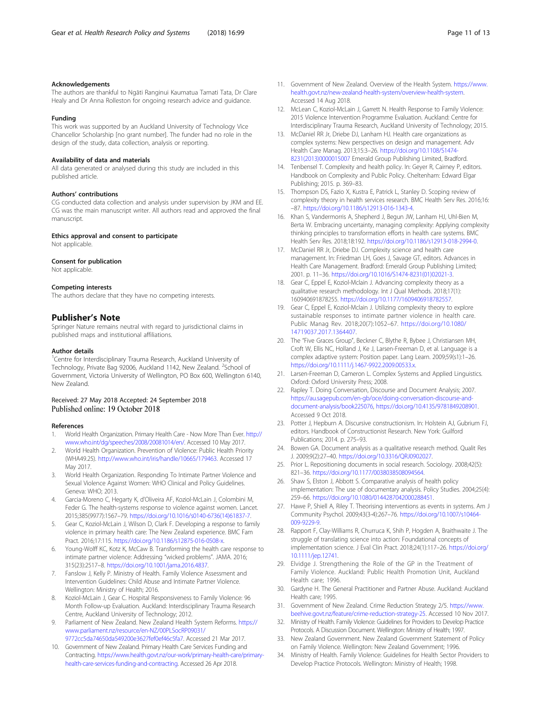## <span id="page-10-0"></span>Acknowledgements

The authors are thankful to Ngāti Ranginui Kaumatua Tamati Tata, Dr Clare Healy and Dr Anna Rolleston for ongoing research advice and guidance.

## Funding

This work was supported by an Auckland University of Technology Vice Chancellor Scholarship [no grant number]. The funder had no role in the design of the study, data collection, analysis or reporting.

#### Availability of data and materials

All data generated or analysed during this study are included in this published article.

## Authors' contributions

CG conducted data collection and analysis under supervision by JKM and EE. CG was the main manuscript writer. All authors read and approved the final manuscript.

#### Ethics approval and consent to participate

Not applicable.

## Consent for publication

Not applicable.

### Competing interests

The authors declare that they have no competing interests.

# Publisher's Note

Springer Nature remains neutral with regard to jurisdictional claims in published maps and institutional affiliations.

#### Author details

<sup>1</sup>Centre for Interdisciplinary Trauma Research, Auckland University of Technology, Private Bag 92006, Auckland 1142, New Zealand. <sup>2</sup>School of Government, Victoria University of Wellington, PO Box 600, Wellington 6140, New Zealand.

#### Received: 27 May 2018 Accepted: 24 September 2018 Published online: 19 October 2018

#### References

- 1. World Health Organization. Primary Health Care Now More Than Ever. [http://](http://www.who.int/dg/speeches/2008/20081014/en/) [www.who.int/dg/speeches/2008/20081014/en/.](http://www.who.int/dg/speeches/2008/20081014/en/) Accessed 10 May 2017.
- 2. World Health Organization. Prevention of Violence: Public Health Priority (WHA49.25). <http://www.who.int/iris/handle/10665/179463>. Accessed 17 May 2017.
- 3. World Health Organization. Responding To Intimate Partner Violence and Sexual Violence Against Women: WHO Clinical and Policy Guidelines. Geneva: WHO; 2013.
- 4. Garcia-Moreno C, Hegarty K, d'Oliveira AF, Koziol-McLain J, Colombini M, Feder G. The health-systems response to violence against women. Lancet. 2015;385(9977):1567–79. [https://doi.org/10.1016/s0140-6736\(14\)61837-7.](https://doi.org/10.1016/s0140-6736(14)61837-7)
- 5. Gear C, Koziol-McLain J, Wilson D, Clark F. Developing a response to family violence in primary health care: The New Zealand experience. BMC Fam Pract. 2016;17:115. [https://doi.org/10.1186/s12875-016-0508-x.](https://doi.org/10.1186/s12875-016-0508-x)
- 6. Young-Wolff KC, Kotz K, McCaw B. Transforming the health care response to intimate partner violence: Addressing "wicked problems". JAMA. 2016; 315(23):2517–8. <https://doi.org/10.1001/jama.2016.4837>.
- 7. Fanslow J, Kelly P. Ministry of Health. Family Violence Assessment and Intervention Guidelines: Child Abuse and Intimate Partner Violence. Wellington: Ministry of Health; 2016.
- 8. Koziol-McLain J, Gear C. Hospital Responsiveness to Family Violence: 96 Month Follow-up Evaluation. Auckland: Interdisciplinary Trauma Research Centre, Auckland University of Technology; 2012.
- 9. Parliament of New Zealand. New Zealand Health System Reforms. [https://](https://www.parliament.nz/resource/en-NZ/00PLSocRP09031/9772cc5da74650da549200e3627fef0ef46c5fa7) [www.parliament.nz/resource/en-NZ/00PLSocRP09031/](https://www.parliament.nz/resource/en-NZ/00PLSocRP09031/9772cc5da74650da549200e3627fef0ef46c5fa7) [9772cc5da74650da549200e3627fef0ef46c5fa7](https://www.parliament.nz/resource/en-NZ/00PLSocRP09031/9772cc5da74650da549200e3627fef0ef46c5fa7). Accessed 21 Mar 2017.
- 10. Government of New Zealand. Primary Health Care Services Funding and Contracting. [https://www.health.govt.nz/our-work/primary-health-care/primary](https://www.health.govt.nz/our-work/primary-health-care/primary-health-care-services-funding-and-contracting)[health-care-services-funding-and-contracting](https://www.health.govt.nz/our-work/primary-health-care/primary-health-care-services-funding-and-contracting). Accessed 26 Apr 2018.
- 11. Government of New Zealand. Overview of the Health System. [https://www.](https://www.health.govt.nz/new-zealand-health-system/overview-health-system) [health.govt.nz/new-zealand-health-system/overview-health-system](https://www.health.govt.nz/new-zealand-health-system/overview-health-system). Accessed 14 Aug 2018.
- 12. McLean C, Koziol-McLain J, Garrett N. Health Response to Family Violence: 2015 Violence Intervention Programme Evaluation. Auckland: Centre for Interdisciplinary Trauma Research, Auckland University of Technology; 2015.
- 13. McDaniel RR Jr, Driebe DJ, Lanham HJ. Health care organizations as complex systems: New perspectives on design and management. Adv Health Care Manag. 2013;15:3–26. [https://doi.org/10.1108/S1474-](https://doi.org/10.1108/S1474-8231(2013)0000015007) [8231\(2013\)0000015007](https://doi.org/10.1108/S1474-8231(2013)0000015007) Emerald Group Publishing Limited, Bradford.
- 14. Tenbensel T. Complexity and health policy. In: Geyer R, Cairney P, editors. Handbook on Complexity and Public Policy. Cheltenham: Edward Elgar Publishing; 2015. p. 369–83.
- 15. Thompson DS, Fazio X, Kustra E, Patrick L, Stanley D. Scoping review of complexity theory in health services research. BMC Health Serv Res. 2016;16: –87. [https://doi.org/10.1186/s12913-016-1343-4.](https://doi.org/10.1186/s12913-016-1343-4)
- 16. Khan S, Vandermorris A, Shepherd J, Begun JW, Lanham HJ, Uhl-Bien M, Berta W. Embracing uncertainty, managing complexity: Applying complexity thinking principles to transformation efforts in health care systems. BMC Health Serv Res. 2018;18:192. <https://doi.org/10.1186/s12913-018-2994-0>.
- 17. McDaniel RR Jr, Driebe DJ. Complexity science and health care management. In: Friedman LH, Goes J, Savage GT, editors. Advances in Health Care Management. Bradford: Emerald Group Publishing Limited; 2001. p. 11–36. [https://doi.org/10.1016/S1474-8231\(01\)02021-3](https://doi.org/10.1016/S1474-8231(01)02021-3).
- 18. Gear C, Eppel E, Koziol-Mclain J. Advancing complexity theory as a qualitative research methodology. Int J Qual Methods. 2018;17(1): 160940691878255. <https://doi.org/10.1177/1609406918782557>.
- 19. Gear C, Eppel E, Koziol-Mclain J. Utilizing complexity theory to explore sustainable responses to intimate partner violence in health care. Public Manag Rev. 2018;20(7):1052–67. [https://doi.org/10.1080/](https://doi.org/10.1080/14719037.2017.1364407) [14719037.2017.1364407.](https://doi.org/10.1080/14719037.2017.1364407)
- 20. The "Five Graces Group", Beckner C, Blythe R, Bybee J, Christiansen MH, Croft W, Ellis NC, Holland J, Ke J, Larsen-Freeman D, et al. Language is a complex adaptive system: Position paper. Lang Learn. 2009;59(s1):1–26. <https://doi.org/10.1111/j.1467-9922.2009.00533.x>.
- 21. Larsen-Freeman D, Cameron L. Complex Systems and Applied Linguistics. Oxford: Oxford University Press; 2008.
- 22. Rapley T. Doing Conversation, Discourse and Document Analysis; 2007. [https://au.sagepub.com/en-gb/oce/doing-conversation-discourse-and](https://au.sagepub.com/en-gb/oce/doing-conversation-discourse-and-document-analysis/book225076)[document-analysis/book225076](https://au.sagepub.com/en-gb/oce/doing-conversation-discourse-and-document-analysis/book225076), <https://doi.org/10.4135/9781849208901>. Accessed 9 Oct 2018.
- 23. Potter J, Hepburn A. Discursive constructionism. In: Holstein AJ, Gubrium FJ, editors. Handbook of Constructionist Research. New York: Guilford Publications; 2014. p. 275–93.
- 24. Bowen GA. Document analysis as a qualitative research method. Qualit Res J. 2009;9(2):27–40. <https://doi.org/10.3316/QRJ0902027>.
- 25. Prior L. Repositioning documents in social research. Sociology. 2008;42(5): 821–36. [https://doi.org/10.1177/0038038508094564.](https://doi.org/10.1177/0038038508094564)
- 26. Shaw S, Elston J, Abbott S. Comparative analysis of health policy implementation: The use of documentary analysis. Policy Studies. 2004;25(4): 259–66. [https://doi.org/10.1080/0144287042000288451.](https://doi.org/10.1080/0144287042000288451)
- 27. Hawe P, Shiell A, Riley T. Theorising interventions as events in systems. Am J Community Psychol. 2009;43(3-4):267–76. [https://doi.org/10.1007/s10464-](https://doi.org/10.1007/s10464-009-9229-9) [009-9229-9](https://doi.org/10.1007/s10464-009-9229-9).
- 28. Rapport F, Clay-Williams R, Churruca K, Shih P, Hogden A, Braithwaite J. The struggle of translating science into action: Foundational concepts of implementation science. J Eval Clin Pract. 2018;24(1):117–26. [https://doi.org/](https://doi.org/10.1111/jep.12741) [10.1111/jep.12741.](https://doi.org/10.1111/jep.12741)
- 29. Elvidge J. Strengthening the Role of the GP in the Treatment of Family Violence. Auckland: Public Health Promotion Unit, Auckland Health care; 1996.
- 30. Gardyne H. The General Practitioner and Partner Abuse. Auckland: Auckland Health care; 1995.
- 31. Government of New Zealand. Crime Reduction Strategy 2/5. [https://www.](https://www.beehive.govt.nz/feature/crime-reduction-strategy-25) [beehive.govt.nz/feature/crime-reduction-strategy-25.](https://www.beehive.govt.nz/feature/crime-reduction-strategy-25) Accessed 10 Nov 2017.
- 32. Ministry of Health. Family Violence: Guidelines for Providers to Develop Practice Protocols. A Discussion Document. Wellington: Ministry of Health; 1997.
- 33. New Zealand Government. New Zealand Government Statement of Policy on Family Violence. Wellington: New Zealand Government; 1996.
- 34. Ministry of Health. Family Violence: Guidelines for Health Sector Providers to Develop Practice Protocols. Wellington: Ministry of Health; 1998.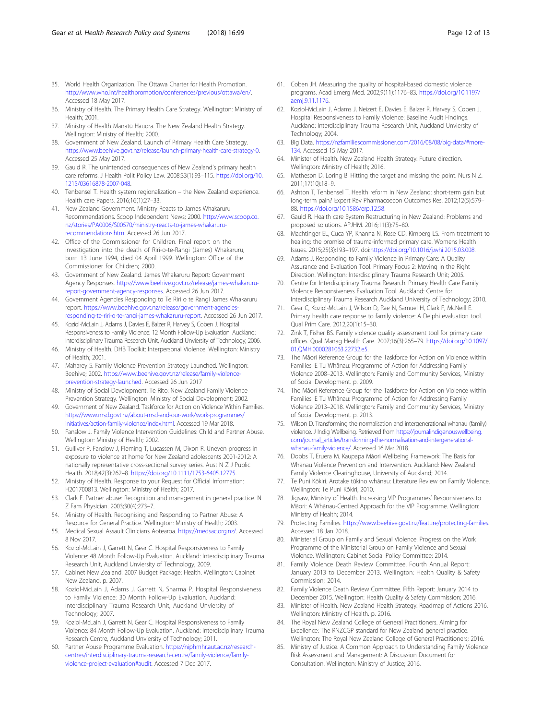- <span id="page-11-0"></span>35. World Health Organization. The Ottawa Charter for Health Promotion. [http://www.who.int/healthpromotion/conferences/previous/ottawa/en/.](http://www.who.int/healthpromotion/conferences/previous/ottawa/en/) Accessed 18 May 2017.
- 36. Ministry of Health. The Primary Health Care Strategy. Wellington: Ministry of Health; 2001.
- 37. Ministry of Health Manatū Hauora. The New Zealand Health Strategy. Wellington: Ministry of Health; 2000.
- 38. Government of New Zealand. Launch of Primary Health Care Strategy. <https://www.beehive.govt.nz/release/launch-primary-health-care-strategy-0>. Accessed 25 May 2017.
- 39. Gauld R. The unintended consequences of New Zealand's primary health care reforms. J Health Polit Policy Law. 2008;33(1):93–115. [https://doi.org/10.](https://doi.org/10.1215/03616878-2007-048) [1215/03616878-2007-048](https://doi.org/10.1215/03616878-2007-048).
- 40. Tenbensel T. Health system regionalization the New Zealand experience. Health care Papers. 2016;16(1):27–33.
- 41. New Zealand Government. Ministry Reacts to James Whakaruru Recommendations. Scoop Independent News; 2000. [http://www.scoop.co.](http://www.scoop.co.nz/stories/PA0006/S00570/ministry-reacts-to-james-whakaruru-recommendations.htm) [nz/stories/PA0006/S00570/ministry-reacts-to-james-whakaruru](http://www.scoop.co.nz/stories/PA0006/S00570/ministry-reacts-to-james-whakaruru-recommendations.htm)[recommendations.htm.](http://www.scoop.co.nz/stories/PA0006/S00570/ministry-reacts-to-james-whakaruru-recommendations.htm) Accessed 26 Jun 2017.
- 42. Office of the Commissioner for Children. Final report on the investigation into the death of Riri-o-te-Rangi (James) Whakaruru, born 13 June 1994, died 04 April 1999. Wellington: Office of the Commissioner for Children; 2000.
- 43. Government of New Zealand. James Whakaruru Report: Government Agency Responses. [https://www.beehive.govt.nz/release/james-whakaruru](https://www.beehive.govt.nz/release/james-whakaruru-report-government-agency-responses)[report-government-agency-responses](https://www.beehive.govt.nz/release/james-whakaruru-report-government-agency-responses). Accessed 26 Jun 2017.
- 44. Government Agencies Responding to Te Riri o te Rangi James Whakaruru report. [https://www.beehive.govt.nz/release/government-agencies](https://www.beehive.govt.nz/release/government-agencies-responding-te-riri-o-te-rangi-james-whakaruru-report)[responding-te-riri-o-te-rangi-james-whakaruru-report.](https://www.beehive.govt.nz/release/government-agencies-responding-te-riri-o-te-rangi-james-whakaruru-report) Accessed 26 Jun 2017.
- 45. Koziol-McLain J, Adams J, Davies E, Balzer R, Harvey S, Coben J. Hospital Responsiveness to Family Violence: 12 Month Follow-Up Evaluation. Auckland: Interdisciplinary Trauma Research Unit, Auckland Unviersity of Technology; 2006.
- 46. Ministry of Health. DHB Toolkit: Interpersonal Violence. Wellington: Ministry of Health; 2001.
- 47. Maharey S. Family Violence Prevention Strategy Launched. Wellington: Beehive; 2002. [https://www.beehive.govt.nz/release/family-violence](https://www.beehive.govt.nz/release/family-violence-prevention-strategy-launched)[prevention-strategy-launched.](https://www.beehive.govt.nz/release/family-violence-prevention-strategy-launched) Accessed 26 Jun 2017
- 48. Ministry of Social Development. Te Rito: New Zealand Family Violence Prevention Strategy. Wellington: Ministry of Social Development; 2002.
- 49. Government of New Zealand. Taskforce for Action on Violence Within Families. [https://www.msd.govt.nz/about-msd-and-our-work/work-programmes/](https://www.msd.govt.nz/about-msd-and-our-work/work-programmes/initiatives/action-family-violence/index.html) [initiatives/action-family-violence/index.html](https://www.msd.govt.nz/about-msd-and-our-work/work-programmes/initiatives/action-family-violence/index.html). Accessed 19 Mar 2018.
- 50. Fanslow J. Family Violence Intervention Guidelines: Child and Partner Abuse. Wellington: Ministry of Health; 2002.
- 51. Gulliver P, Fanslow J, Fleming T, Lucassen M, Dixon R. Uneven progress in exposure to violence at home for New Zealand adolescents 2001-2012: A nationally representative cross-sectional survey series. Aust N Z J Public Health. 2018;42(3):262–8. [https://doi.org/10.1111/1753-6405.12775.](https://doi.org/10.1111/1753-6405.12775)
- 52. Ministry of Health. Response to your Request for Official Information: H201700813. Wellington: Ministry of Health; 2017.
- 53. Clark F. Partner abuse: Recognition and management in general practice. N Z Fam Physician. 2003;30(4):273–7.
- 54. Ministry of Health. Recognising and Responding to Partner Abuse: A Resource for General Practice. Wellington: Ministry of Health; 2003.
- 55. Medical Sexual Assault Clinicians Aotearoa. <https://medsac.org.nz/>. Accessed 8 Nov 2017.
- 56. Koziol-McLain J, Garrett N, Gear C. Hospital Responsiveness to Family Violence: 48 Month Follow-Up Evaluation. Auckland: Interdisciplinary Trauma Research Unit, Auckland Unviersity of Technology; 2009.
- 57. Cabinet New Zealand. 2007 Budget Package: Health. Wellington: Cabinet New Zealand. p. 2007.
- 58. Koziol-McLain J, Adams J, Garrett N, Sharma P. Hospital Responsiveness to Family Violence: 30 Month Follow-Up Evaluation. Auckland: Interdisciplinary Trauma Research Unit, Auckland Unviersity of Technology; 2007.
- 59. Koziol-McLain J, Garrett N, Gear C. Hospital Responsiveness to Family Violence: 84 Month Follow-Up Evaluation. Auckland: Interdisciplinary Trauma Research Centre, Auckland Unviersity of Technology; 2011.
- 60. Partner Abuse Programme Evaluation. [https://niphmhr.aut.ac.nz/research](https://niphmhr.aut.ac.nz/research-centres/interdisciplinary-trauma-research-centre/family-violence/family-violence-project-evaluation#audit)[centres/interdisciplinary-trauma-research-centre/family-violence/family](https://niphmhr.aut.ac.nz/research-centres/interdisciplinary-trauma-research-centre/family-violence/family-violence-project-evaluation#audit)[violence-project-evaluation#audit](https://niphmhr.aut.ac.nz/research-centres/interdisciplinary-trauma-research-centre/family-violence/family-violence-project-evaluation#audit). Accessed 7 Dec 2017.
- 61. Coben JH. Measuring the quality of hospital-based domestic violence programs. Acad Emerg Med. 2002;9(11):1176–83. [https://doi.org/10.1197/](https://doi.org/10.1197/aemj.9.11.1176) [aemj.9.11.1176](https://doi.org/10.1197/aemj.9.11.1176).
- 62. Koziol-McLain J, Adams J, Neizert E, Davies E, Balzer R, Harvey S, Coben J. Hospital Responsiveness to Family Violence: Baseline Audit Findings. Auckland: Interdisciplinary Trauma Research Unit, Auckland Unviersity of Technology; 2004.
- 63. Big Data. [https://nzfamiliescommissioner.com/2016/08/08/big-data/#more-](https://nzfamiliescommissioner.com/2016/08/08/big-data/#more-134)[134.](https://nzfamiliescommissioner.com/2016/08/08/big-data/#more-134) Accessed 15 May 2017.
- 64. Minister of Health. New Zealand Health Strategy: Future direction. Wellington: Ministry of Health; 2016.
- 65. Matheson D, Loring B. Hitting the target and missing the point. Nurs N Z. 2011;17(10):18–9.
- 66. Ashton T, Tenbensel T. Health reform in New Zealand: short-term gain but long-term pain? Expert Rev Pharmacoecon Outcomes Res. 2012;12(5):579– 88. <https://doi.org/10.1586/erp.12.58>.
- 67. Gauld R. Health care System Restructuring in New Zealand: Problems and proposed solutions. APJHM. 2016;11(3):75–80.
- 68. Machtinger EL, Cuca YP, Khanna N, Rose CD, Kimberg LS. From treatment to healing: the promise of trauma-informed primary care. Womens Health Issues. 2015;25(3):193–197. doi[:https://doi.org/10.1016/j.whi.2015.03.008.](https://doi.org/10.1016/j.whi.2015.03.008)
- Adams J. Responding to Family Violence in Primary Care: A Quality Assurance and Evaluation Tool. Primary Focus 2: Moving in the Right Direction. Wellington: Interdisciplinary Trauma Research Unit; 2005.
- 70. Centre for Interdisciplinary Trauma Research. Primary Health Care Family Violence Responsiveness Evaluation Tool. Auckland: Centre for Interdisciplinary Trauma Research Auckland University of Technology; 2010.
- 71. Gear C, Koziol-McLain J, Wilson D, Rae N, Samuel H, Clark F, McNeill E. Primary health care response to family violence: A Delphi evaluation tool. Qual Prim Care. 2012;20(1):15–30.
- 72. Zink T, Fisher BS. Family violence quality assessment tool for primary care offices. Qual Manag Health Care. 2007;16(3):265–79. [https://doi.org/10.1097/](https://doi.org/10.1097/01.QMH.0000281063.22732.e5) [01.QMH.0000281063.22732.e5.](https://doi.org/10.1097/01.QMH.0000281063.22732.e5)
- 73. The Māori Reference Group for the Taskforce for Action on Violence within Families. E Tu Whānau: Programme of Action for Addressing Family Violence 2008–2013. Wellington: Family and Community Services, Ministry of Social Development. p. 2009.
- 74. The Māori Reference Group for the Taskforce for Action on Violence within Families. E Tu Whānau: Programme of Action for Addressing Family Violence 2013–2018. Wellington: Family and Community Services, Ministry of Social Development. p. 2013.
- 75. Wilson D. Transforming the normalisation and intergenerational whanau (family) violence. J Indig Wellbeing. Retrieved from [https://journalindigenouswellbeing.](https://journalindigenouswellbeing.com/journal_articles/transforming-the-normalisation-and-intergenerational-whanau-family-violence/) [com/journal\\_articles/transforming-the-normalisation-and-intergenerational](https://journalindigenouswellbeing.com/journal_articles/transforming-the-normalisation-and-intergenerational-whanau-family-violence/)[whanau-family-violence/](https://journalindigenouswellbeing.com/journal_articles/transforming-the-normalisation-and-intergenerational-whanau-family-violence/). Accessed 16 Mar 2018.
- 76. Dobbs T, Eruera M. Kaupapa Māori Wellbeing Framework: The Basis for Whānau Violence Prevention and Intervention. Auckland: New Zealand Family Violence Clearinghouse, University of Auckland; 2014.
- 77. Te Puni Kōkiri. Arotake tūkino whānau: Literature Review on Family Violence. Wellington: Te Puni Kōkiri; 2010.
- 78. Jigsaw, Ministry of Health. Increasing VIP Programmes' Responsiveness to Māori: A Whānau-Centred Approach for the VIP Programme. Wellington: Ministry of Health; 2014.
- 79. Protecting Families. [https://www.beehive.govt.nz/feature/protecting-families.](https://www.beehive.govt.nz/feature/protecting-families) Accessed 18 Jan 2018.
- 80. Ministerial Group on Family and Sexual Violence. Progress on the Work Programme of the Ministerial Group on Family Violence and Sexual Violence. Wellington: Cabinet Social Policy Committee; 2014.
- 81. Family Violence Death Review Committee. Fourth Annual Report: January 2013 to December 2013. Wellington: Health Quality & Safety Commission; 2014.
- 82. Family Violence Death Review Committee. Fifth Report: January 2014 to December 2015. Wellington: Health Quality & Safety Commission; 2016.
- 83. Minister of Health. New Zealand Health Strategy: Roadmap of Actions 2016. Wellington: Ministry of Health. p. 2016.
- 84. The Royal New Zealand College of General Practitioners. Aiming for Excellence: The RNZCGP standard for New Zealand general practice. Wellington: The Royal New Zealand College of General Practitioners; 2016.
- 85. Ministry of Justice. A Common Approach to Understanding Family Violence Risk Assessment and Management: A Discussion Document for Consultation. Wellington: Ministry of Justice; 2016.